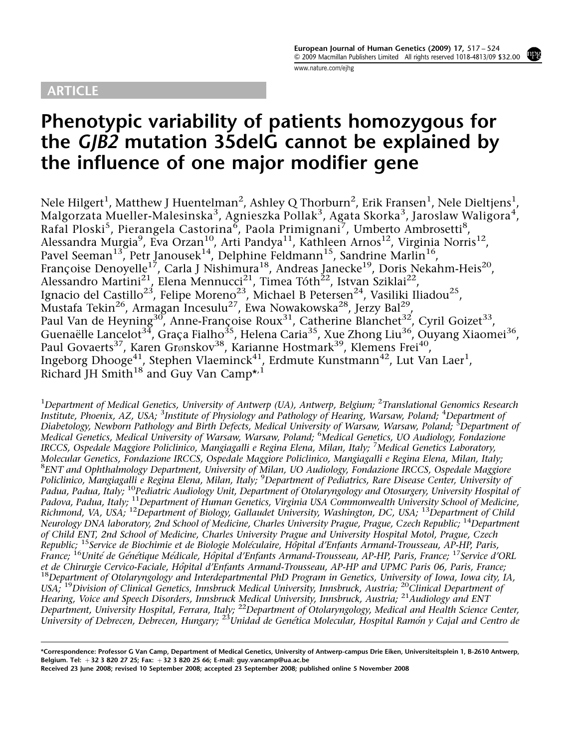## ARTICLE

[www.nature.com/ejhg](http://www.nature.com/ejhg)

# Phenotypic variability of patients homozygous for the  $GJB2$  mutation 35delG cannot be explained by the influence of one major modifier gene

Nele Hilgert $^1$ , Matthew J Huentelman $^2$ , Ashley Q Thorburn $^2$ , Erik Fransen $^1$ , Nele Dieltjens $^1$ , Malgorzata Mueller-Malesinska $^3$ , Agnieszka Pollak $^3$ , Agata Skorka $^3$ , Jaroslaw Waligora $^4$ , Rafal Ploski<sup>5</sup>, Pierangela Castorina<sup>6</sup>, Paola Primignani<sup>7</sup>, Umberto Ambrosetti<sup>8</sup>, Alessandra Murgia<sup>9</sup>, Eva Orzan<sup>10</sup>, Arti Pandya<sup>11</sup>, Kathleen Arnos<sup>12</sup>, Virginia Norris<sup>12</sup>, Pavel Seeman<sup>13</sup>, Petr Janousek<sup>14</sup>, Delphine Feldmann<sup>15</sup>, Sandrine Marlin<sup>16</sup>, Françoise Denoyelle<sup>17</sup>, Carla J Nishimura<sup>18</sup>, Andreas Janecke<sup>19</sup>, Doris Nekahm-Heis<sup>20</sup>, Alessandro Martini<sup>21</sup>, Elena Mennucci<sup>21</sup>, Timea Tóth<sup>22</sup>, Istvan Sziklai<sup>22</sup>, Ignacio del Castillo<sup>23</sup>, Felipe Moreno<sup>23</sup>, Michael B Petersen<sup>24</sup>, Vasiliki Iliadou<sup>25</sup>, Mustafa Tekin $^{26}$ , Armagan Incesulu $^{27}$ , Ewa Nowakowska $^{28}$ , Jerzy Bal $^{29}$ , Paul Van de Heyning<sup>30</sup>, Anne-Françoise Roux<sup>31</sup>, Catherine Blanchet<sup>32</sup>, Cyril Goizet<sup>33</sup>, Guenaëlle Lancelot<sup>34</sup>, Graça Fialho<sup>35</sup>, Helena Caria<sup>35</sup>, Xue Zhong Liu<sup>36</sup>, Ouyang Xiaomei<sup>36</sup>, Paul Govaerts<sup>37</sup>, Karen Grønskov<sup>38</sup>, Karianne Hostmark<sup>39</sup>, Klemens Frei<sup>40</sup>, Ingeborg Dhooge $^{41}$ , Stephen Vlaeminck $^{41}$ , Erdmute Kunstmann $^{42}$ , Lut Van Laer<sup>1</sup>, Richard JH Smith<sup>18</sup> and Guy Van Camp\*,<sup>1</sup>

<sup>1</sup>Department of Medical Genetics, University of Antwerp (UA), Antwerp, Belgium; <sup>2</sup>Translational Genomics Research Institute, Phoenix, AZ, USA; <sup>3</sup>Institute of Physiology and Pathology of Hearing, Warsaw, Poland; <sup>4</sup>Department of Diabetology, Newborn Pathology and Birth Defects, Medical University of Warsaw, Warsaw, Poland; <sup>5</sup>Department of Medical Genetics, Medical University of Warsaw, Warsaw, Poland; <sup>6</sup>Medical Genetics, UO Audiology, Fondazione IRCCS, Ospedale Maggiore Policlinico, Mangiagalli e Regina Elena, Milan, Italy; <sup>7</sup>Medical Genetics Laboratory, Molecular Genetics, Fondazione IRCCS, Ospedale Maggiore Policlinico, Mangiagalli e Regina Elena, Milan, Italy; <sup>8</sup>ENT and Ophthalmology Department, University of Milan, UO Audiology, Fondazione IRCCS, Ospedale Maggiore Policlinico, Mangiagalli e Regina Elena, Milan, Italy; <sup>9</sup>Department of Pediatrics, Rare Disease Center, University of Padua, Padua, Italy; <sup>10</sup>Pediatric Audiology Unit, Department of Otolaryngology and Otosurgery, University Hospital of Padova, Padua, Italy; <sup>11</sup>Department of Human Genetics, Virginia USA Commonwealth University School of Medicine, Richmond, VA, USA;  $^{12}$ Department of Biology, Gallaudet University, Washington, DC, USA;  $^{13}$ Department of Child Neurology DNA laboratory, 2nd School of Medicine, Charles University Prague, Prague, Czech Republic; <sup>14</sup>Department of Child ENT, 2nd School of Medicine, Charles University Prague and University Hospital Motol, Prague, Czech Republic; <sup>15</sup>Service de Biochimie et de Biologie Moléculaire, Hôpital d'Enfants Armand-Trousseau, AP-HP, Paris, France; <sup>16</sup>Unité de Génétique Médicale, Hôpital d'Enfants Armand-Trousseau, AP-HP, Paris, France; <sup>17</sup>Service d'ORL et de Chirurgie Cervico-Faciale, Hôpital d'Enfants Armand-Trousseau, AP-HP and UPMC Paris 06, Paris, France;<br><sup>18</sup>Department of Otolaryngology and Interdepartmental PhD Program in Genetics, University of Iowa, Iowa city, IA USA; <sup>19</sup>Division of Clinical Genetics, Innsbruck Medical University, Innsbruck, Austria; <sup>20</sup>Clinical Department of Hearing, Voice and Speech Disorders, Innsbruck Medical University, Innsbruck, Austria; <sup>21</sup>Audiology and ENT Department, University Hospital, Ferrara, Italy; <sup>22</sup>Department of Otolaryngology, Medical and Health Science Center, University of Debrecen, Debrecen, Hungary; <sup>23</sup>Unidad de Genética Molecular, Hospital Ramón y Cajal and Centro de

<sup>\*</sup>Correspondence: Professor G Van Camp, Department of Medical Genetics, University of Antwerp-campus Drie Eiken, Universiteitsplein 1, B-2610 Antwerp, Belgium. Tel:  $+32$  3 820 27 25; Fax:  $+32$  3 820 25 66; E-mail: [guy.vancamp@ua.ac.be](mailto:guy.vancamp@ua.ac.be)

Received 23 June 2008; revised 10 September 2008; accepted 23 September 2008; published online 5 November 2008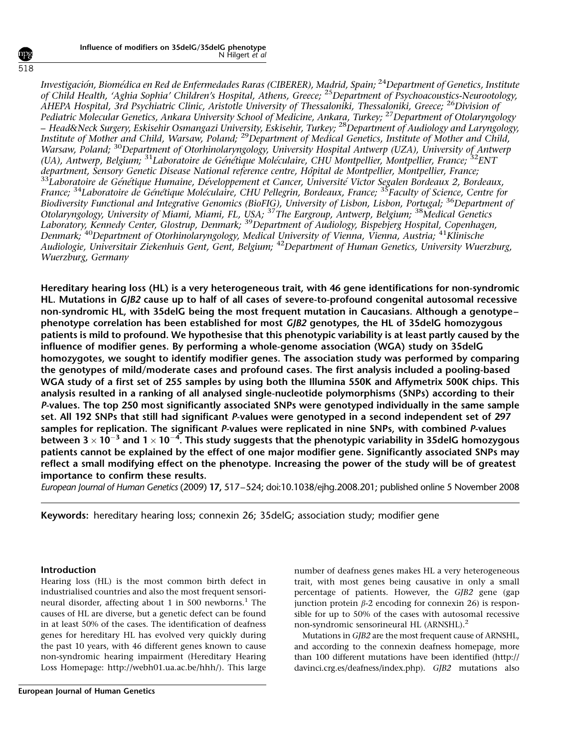Investigación, Biomédica en Red de Enfermedades Raras (CIBERER), Madrid, Spain; <sup>24</sup>Department of Genetics, Institute of Child Health, 'Aghia Sophia' Children's Hospital, Athens, Greece; <sup>25</sup>Department of Psychoacoustics-Neurootology, AHEPA Hospital, 3rd Psychiatric Clinic, Aristotle University of Thessaloniki, Thessaloniki, Greece; <sup>26</sup>Division of Pediatric Molecular Genetics, Ankara University School of Medicine, Ankara, Turkey; <sup>27</sup>Department of Otolaryngology – Head&Neck Surgery, Eskisehir Osmangazi University, Eskisehir, Turkey; <sup>28</sup>Department of Audiology and Laryngology, Institute of Mother and Child, Warsaw, Poland; <sup>29</sup>Department of Medical Genetics, Institute of Mother and Child, Warsaw, Poland; <sup>30</sup>Department of Otorhinolaryngology, University Hospital Antwerp (UZA), University of Antwerp (UA), Antwerp, Belgium; <sup>31</sup>Laboratoire de Génétique Moléculaire, CHU Montpellier, Montpellier, France; <sup>32</sup>ENT<br>department, Sensory Genetic Disease National reference centre, Hôpital de Montpellier, Montpellier, France;  $^{33}$ Laboratoire de Génétique Humaine, Développement et Cancer, Université Victor Segalen Bordeaux 2, Bordeaux, France; <sup>34</sup>Laboratoire de Génétique Moléculaire, CHU Pellegrin, Bordeaux, France; <sup>35</sup>Faculty of Science, Centre for Biodiversity Functional and Integrative Genomics (BioFIG), University of Lisbon, Lisbon, Portugal; <sup>36</sup>Department of Otolaryngology, University of Miami, Miami, FL, USA; <sup>37</sup>The Eargroup, Antwerp, Belgium; <sup>38</sup>Medical Genetics Laboratory, Kennedy Center, Glostrup, Denmark; <sup>39</sup>Department of Audiology, Bispebjerg Hospital, Copenhagen, Denmark; <sup>40</sup>Department of Otorhinolaryngology, Medical University of Vienna, Vienna, Austria; <sup>41</sup>Klinische Audiologie, Universitair Ziekenhuis Gent, Gent, Belgium; <sup>42</sup>Department of Human Genetics, University Wuerzburg, Wuerzburg, Germany

Hereditary hearing loss (HL) is a very heterogeneous trait, with 46 gene identifications for non-syndromic HL. Mutations in GJB2 cause up to half of all cases of severe-to-profound congenital autosomal recessive non-syndromic HL, with 35delG being the most frequent mutation in Caucasians. Although a genotype– phenotype correlation has been established for most GJB2 genotypes, the HL of 35delG homozygous patients is mild to profound. We hypothesise that this phenotypic variability is at least partly caused by the influence of modifier genes. By performing a whole-genome association (WGA) study on 35delG homozygotes, we sought to identify modifier genes. The association study was performed by comparing the genotypes of mild/moderate cases and profound cases. The first analysis included a pooling-based WGA study of a first set of 255 samples by using both the Illumina 550K and Affymetrix 500K chips. This analysis resulted in a ranking of all analysed single-nucleotide polymorphisms (SNPs) according to their P-values. The top 250 most significantly associated SNPs were genotyped individually in the same sample set. All 192 SNPs that still had significant P-values were genotyped in a second independent set of 297 samples for replication. The significant P-values were replicated in nine SNPs, with combined P-values between 3  $\times$  10 $^{-3}$  and 1  $\times$  10 $^{-4}$ . This study suggests that the phenotypic variability in 35delG homozygous patients cannot be explained by the effect of one major modifier gene. Significantly associated SNPs may reflect a small modifying effect on the phenotype. Increasing the power of the study will be of greatest importance to confirm these results.

European Journal of Human Genetics (2009) 17, 517–524; doi[:10.1038/ejhg.2008.201](http://dx.doi.org/10.1038/ejhg.2008.201); published online 5 November 2008

Keywords: hereditary hearing loss; connexin 26; 35delG; association study; modifier gene

## Introduction

Hearing loss (HL) is the most common birth defect in industrialised countries and also the most frequent sensori-neural disorder, affecting about [1](#page-7-0) in 500 newborns.<sup>1</sup> The causes of HL are diverse, but a genetic defect can be found in at least 50% of the cases. The identification of deafness genes for hereditary HL has evolved very quickly during the past 10 years, with 46 different genes known to cause non-syndromic hearing impairment (Hereditary Hearing Loss Homepage:<http://webh01.ua.ac.be/hhh/>). This large number of deafness genes makes HL a very heterogeneous trait, with most genes being causative in only a small percentage of patients. However, the GJB2 gene (gap junction protein  $\beta$ -2 encoding for connexin 26) is responsible for up to 50% of the cases with autosomal recessive non-syndromic sensorineural HL (ARNSHL).[2](#page-7-0)

Mutations in GJB2 are the most frequent cause of ARNSHL, and according to the connexin deafness homepage, more than 100 different mutations have been identified [\(http://](http://davinci.crg.es/deafness/index.php) [davinci.crg.es/deafness/index.php](http://davinci.crg.es/deafness/index.php)). GJB2 mutations also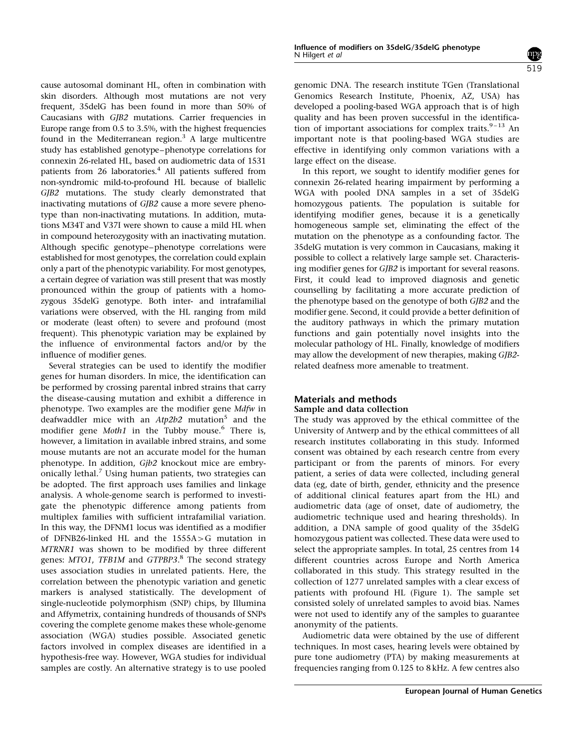cause autosomal dominant HL, often in combination with skin disorders. Although most mutations are not very frequent, 35delG has been found in more than 50% of Caucasians with GJB2 mutations. Carrier frequencies in Europe range from 0.5 to 3.5%, with the highest frequencies found in the Mediterranean region.<sup>3</sup> A large multicentre study has established genotype–phenotype correlations for connexin 26-related HL, based on audiometric data of 1531 patients from 26 laboratories.<sup>[4](#page-7-0)</sup> All patients suffered from non-syndromic mild-to-profound HL because of biallelic GJB2 mutations. The study clearly demonstrated that inactivating mutations of GJB2 cause a more severe phenotype than non-inactivating mutations. In addition, mutations M34T and V37I were shown to cause a mild HL when in compound heterozygosity with an inactivating mutation. Although specific genotype–phenotype correlations were established for most genotypes, the correlation could explain only a part of the phenotypic variability. For most genotypes, a certain degree of variation was still present that was mostly pronounced within the group of patients with a homozygous 35delG genotype. Both inter- and intrafamilial variations were observed, with the HL ranging from mild or moderate (least often) to severe and profound (most frequent). This phenotypic variation may be explained by the influence of environmental factors and/or by the influence of modifier genes.

Several strategies can be used to identify the modifier genes for human disorders. In mice, the identification can be performed by crossing parental inbred strains that carry the disease-causing mutation and exhibit a difference in phenotype. Two examples are the modifier gene Mdfw in deafwaddler mice with an  $Atp2b2$  mutation<sup>[5](#page-7-0)</sup> and the modifier gene Moth1 in the Tubby mouse.<sup>[6](#page-7-0)</sup> There is, however, a limitation in available inbred strains, and some mouse mutants are not an accurate model for the human phenotype. In addition, Gjb2 knockout mice are embryonically lethal.[7](#page-7-0) Using human patients, two strategies can be adopted. The first approach uses families and linkage analysis. A whole-genome search is performed to investigate the phenotypic difference among patients from multiplex families with sufficient intrafamilial variation. In this way, the DFNM1 locus was identified as a modifier of DFNB26-linked HL and the  $1555A > G$  mutation in MTRNR1 was shown to be modified by three different genes: MTO1, TFB1M and GTPBP3.<sup>[8](#page-7-0)</sup> The second strategy uses association studies in unrelated patients. Here, the correlation between the phenotypic variation and genetic markers is analysed statistically. The development of single-nucleotide polymorphism (SNP) chips, by Illumina and Affymetrix, containing hundreds of thousands of SNPs covering the complete genome makes these whole-genome association (WGA) studies possible. Associated genetic factors involved in complex diseases are identified in a hypothesis-free way. However, WGA studies for individual samples are costly. An alternative strategy is to use pooled genomic DNA. The research institute TGen (Translational Genomics Research Institute, Phoenix, AZ, USA) has developed a pooling-based WGA approach that is of high quality and has been proven successful in the identification of important associations for complex traits. $9-13$  An important note is that pooling-based WGA studies are effective in identifying only common variations with a large effect on the disease.

In this report, we sought to identify modifier genes for connexin 26-related hearing impairment by performing a WGA with pooled DNA samples in a set of 35delG homozygous patients. The population is suitable for identifying modifier genes, because it is a genetically homogeneous sample set, eliminating the effect of the mutation on the phenotype as a confounding factor. The 35delG mutation is very common in Caucasians, making it possible to collect a relatively large sample set. Characterising modifier genes for GJB2 is important for several reasons. First, it could lead to improved diagnosis and genetic counselling by facilitating a more accurate prediction of the phenotype based on the genotype of both GJB2 and the modifier gene. Second, it could provide a better definition of the auditory pathways in which the primary mutation functions and gain potentially novel insights into the molecular pathology of HL. Finally, knowledge of modifiers may allow the development of new therapies, making GJB2 related deafness more amenable to treatment.

## Materials and methods Sample and data collection

The study was approved by the ethical committee of the University of Antwerp and by the ethical committees of all research institutes collaborating in this study. Informed consent was obtained by each research centre from every participant or from the parents of minors. For every patient, a series of data were collected, including general data (eg, date of birth, gender, ethnicity and the presence of additional clinical features apart from the HL) and audiometric data (age of onset, date of audiometry, the audiometric technique used and hearing thresholds). In addition, a DNA sample of good quality of the 35delG homozygous patient was collected. These data were used to select the appropriate samples. In total, 25 centres from 14 different countries across Europe and North America collaborated in this study. This strategy resulted in the collection of 1277 unrelated samples with a clear excess of patients with profound HL ([Figure 1](#page-3-0)). The sample set consisted solely of unrelated samples to avoid bias. Names were not used to identify any of the samples to guarantee anonymity of the patients.

Audiometric data were obtained by the use of different techniques. In most cases, hearing levels were obtained by pure tone audiometry (PTA) by making measurements at frequencies ranging from 0.125 to 8 kHz. A few centres also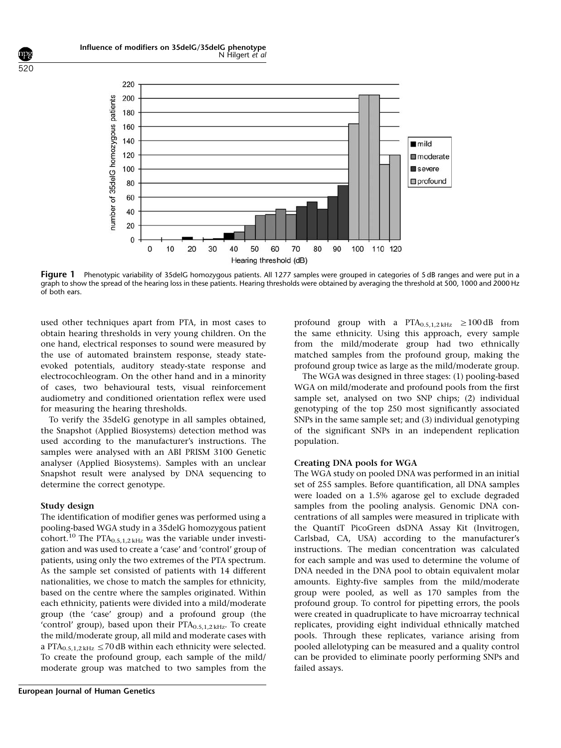<span id="page-3-0"></span>

Figure 1 Phenotypic variability of 35delG homozygous patients. All 1277 samples were grouped in categories of 5 dB ranges and were put in a graph to show the spread of the hearing loss in these patients. Hearing thresholds were obtained by averaging the threshold at 500, 1000 and 2000 Hz of both ears.

used other techniques apart from PTA, in most cases to obtain hearing thresholds in very young children. On the one hand, electrical responses to sound were measured by the use of automated brainstem response, steady stateevoked potentials, auditory steady-state response and electrocochleogram. On the other hand and in a minority of cases, two behavioural tests, visual reinforcement audiometry and conditioned orientation reflex were used for measuring the hearing thresholds.

To verify the 35delG genotype in all samples obtained, the Snapshot (Applied Biosystems) detection method was used according to the manufacturer's instructions. The samples were analysed with an ABI PRISM 3100 Genetic analyser (Applied Biosystems). Samples with an unclear Snapshot result were analysed by DNA sequencing to determine the correct genotype.

#### Study design

The identification of modifier genes was performed using a pooling-based WGA study in a 35delG homozygous patient cohort.<sup>[10](#page-7-0)</sup> The PTA<sub>0.5,1,2 kHz</sub> was the variable under investigation and was used to create a 'case' and 'control' group of patients, using only the two extremes of the PTA spectrum. As the sample set consisted of patients with 14 different nationalities, we chose to match the samples for ethnicity, based on the centre where the samples originated. Within each ethnicity, patients were divided into a mild/moderate group (the 'case' group) and a profound group (the 'control' group), based upon their  $PTA_{0.5,1,2\text{ kHz}}$ . To create the mild/moderate group, all mild and moderate cases with a PTA<sub>0.5,1,2 kHz</sub>  $\leq$  70 dB within each ethnicity were selected. To create the profound group, each sample of the mild/ moderate group was matched to two samples from the profound group with a  $PTA_{0.5,1,2 \text{ kHz}} \ge 100 \text{ dB}$  from the same ethnicity. Using this approach, every sample from the mild/moderate group had two ethnically matched samples from the profound group, making the profound group twice as large as the mild/moderate group.

The WGA was designed in three stages: (1) pooling-based WGA on mild/moderate and profound pools from the first sample set, analysed on two SNP chips; (2) individual genotyping of the top 250 most significantly associated SNPs in the same sample set; and (3) individual genotyping of the significant SNPs in an independent replication population.

#### Creating DNA pools for WGA

The WGA study on pooled DNA was performed in an initial set of 255 samples. Before quantification, all DNA samples were loaded on a 1.5% agarose gel to exclude degraded samples from the pooling analysis. Genomic DNA concentrations of all samples were measured in triplicate with the QuantiT PicoGreen dsDNA Assay Kit (Invitrogen, Carlsbad, CA, USA) according to the manufacturer's instructions. The median concentration was calculated for each sample and was used to determine the volume of DNA needed in the DNA pool to obtain equivalent molar amounts. Eighty-five samples from the mild/moderate group were pooled, as well as 170 samples from the profound group. To control for pipetting errors, the pools were created in quadruplicate to have microarray technical replicates, providing eight individual ethnically matched pools. Through these replicates, variance arising from pooled allelotyping can be measured and a quality control can be provided to eliminate poorly performing SNPs and failed assays.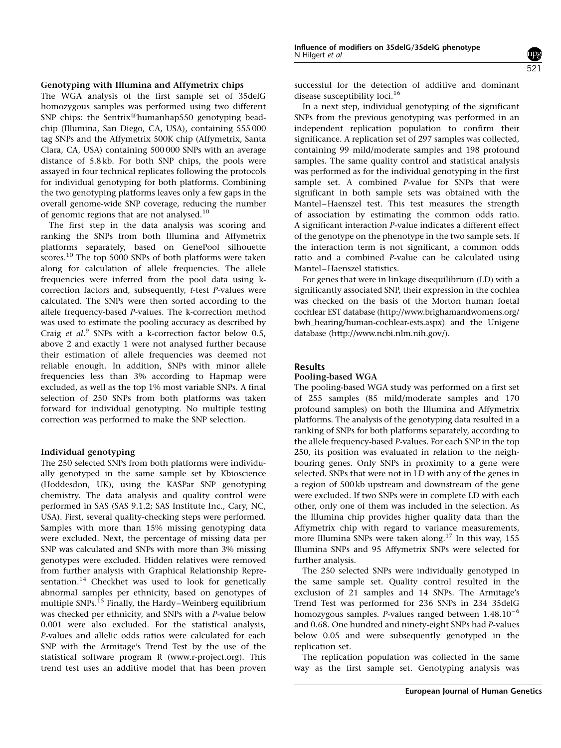The WGA analysis of the first sample set of 35delG homozygous samples was performed using two different SNP chips: the Sentrix $^{\circledR}$ humanhap550 genotyping beadchip (Illumina, San Diego, CA, USA), containing 555 000 tag SNPs and the Affymetrix 500K chip (Affymetrix, Santa Clara, CA, USA) containing 500 000 SNPs with an average distance of 5.8 kb. For both SNP chips, the pools were assayed in four technical replicates following the protocols for individual genotyping for both platforms. Combining the two genotyping platforms leaves only a few gaps in the overall genome-wide SNP coverage, reducing the number of genomic regions that are not analysed.<sup>[10](#page-7-0)</sup>

The first step in the data analysis was scoring and ranking the SNPs from both Illumina and Affymetrix platforms separately, based on GenePool silhouette scores.<sup>[10](#page-7-0)</sup> The top 5000 SNPs of both platforms were taken along for calculation of allele frequencies. The allele frequencies were inferred from the pool data using kcorrection factors and, subsequently, t-test P-values were calculated. The SNPs were then sorted according to the allele frequency-based P-values. The k-correction method was used to estimate the pooling accuracy as described by Craig et al.<sup>[9](#page-7-0)</sup> SNPs with a k-correction factor below 0.5, above 2 and exactly 1 were not analysed further because their estimation of allele frequencies was deemed not reliable enough. In addition, SNPs with minor allele frequencies less than 3% according to Hapmap were excluded, as well as the top 1% most variable SNPs. A final selection of 250 SNPs from both platforms was taken forward for individual genotyping. No multiple testing correction was performed to make the SNP selection.

## Individual genotyping

The 250 selected SNPs from both platforms were individually genotyped in the same sample set by Kbioscience (Hoddesdon, UK), using the KASPar SNP genotyping chemistry. The data analysis and quality control were performed in SAS (SAS 9.1.2; SAS Institute Inc., Cary, NC, USA). First, several quality-checking steps were performed. Samples with more than 15% missing genotyping data were excluded. Next, the percentage of missing data per SNP was calculated and SNPs with more than 3% missing genotypes were excluded. Hidden relatives were removed from further analysis with Graphical Relationship Repre-sentation.<sup>[14](#page-7-0)</sup> Checkhet was used to look for genetically abnormal samples per ethnicity, based on genotypes of multiple SNPs.<sup>[15](#page-7-0)</sup> Finally, the Hardy–Weinberg equilibrium was checked per ethnicity, and SNPs with a P-value below 0.001 were also excluded. For the statistical analysis, P-values and allelic odds ratios were calculated for each SNP with the Armitage's Trend Test by the use of the statistical software program R ([www.r-project.org\)](www.r-project.org). This trend test uses an additive model that has been proven successful for the detection of additive and dominant disease susceptibility loci.<sup>[16](#page-7-0)</sup>

In a next step, individual genotyping of the significant SNPs from the previous genotyping was performed in an independent replication population to confirm their significance. A replication set of 297 samples was collected, containing 99 mild/moderate samples and 198 profound samples. The same quality control and statistical analysis was performed as for the individual genotyping in the first sample set. A combined *P*-value for SNPs that were significant in both sample sets was obtained with the Mantel–Haenszel test. This test measures the strength of association by estimating the common odds ratio. A significant interaction P-value indicates a different effect of the genotype on the phenotype in the two sample sets. If the interaction term is not significant, a common odds ratio and a combined P-value can be calculated using Mantel–Haenszel statistics.

For genes that were in linkage disequilibrium (LD) with a significantly associated SNP, their expression in the cochlea was checked on the basis of the Morton human foetal cochlear EST database [\(http://www.brighamandwomens.org/](http://www.brighamandwomens.org/bwh_hearing/human-cochlear-ests.aspx) [bwh\\_hearing/human-cochlear-ests.aspx](http://www.brighamandwomens.org/bwh_hearing/human-cochlear-ests.aspx)) and the Unigene database [\(http://www.ncbi.nlm.nih.gov/](http://www.ncbi.nlm.nih.gov/)).

## Results

## Pooling-based WGA

The pooling-based WGA study was performed on a first set of 255 samples (85 mild/moderate samples and 170 profound samples) on both the Illumina and Affymetrix platforms. The analysis of the genotyping data resulted in a ranking of SNPs for both platforms separately, according to the allele frequency-based P-values. For each SNP in the top 250, its position was evaluated in relation to the neighbouring genes. Only SNPs in proximity to a gene were selected. SNPs that were not in LD with any of the genes in a region of 500 kb upstream and downstream of the gene were excluded. If two SNPs were in complete LD with each other, only one of them was included in the selection. As the Illumina chip provides higher quality data than the Affymetrix chip with regard to variance measurements, more Illumina SNPs were taken along.<sup>[17](#page-7-0)</sup> In this way, 155 Illumina SNPs and 95 Affymetrix SNPs were selected for further analysis.

The 250 selected SNPs were individually genotyped in the same sample set. Quality control resulted in the exclusion of 21 samples and 14 SNPs. The Armitage's Trend Test was performed for 236 SNPs in 234 35delG homozygous samples. P-values ranged between  $1.48.10^{-6}$ and 0.68. One hundred and ninety-eight SNPs had P-values below 0.05 and were subsequently genotyped in the replication set.

The replication population was collected in the same way as the first sample set. Genotyping analysis was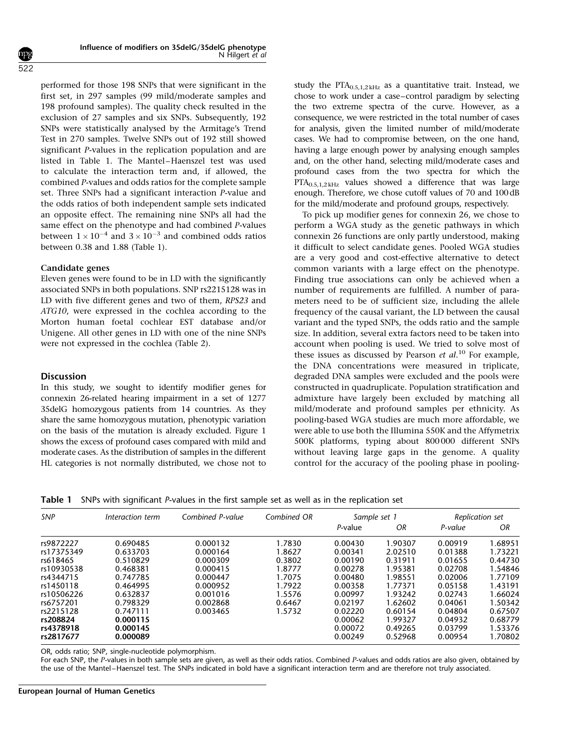performed for those 198 SNPs that were significant in the first set, in 297 samples (99 mild/moderate samples and 198 profound samples). The quality check resulted in the exclusion of 27 samples and six SNPs. Subsequently, 192 SNPs were statistically analysed by the Armitage's Trend Test in 270 samples. Twelve SNPs out of 192 still showed significant P-values in the replication population and are listed in Table 1. The Mantel–Haenszel test was used to calculate the interaction term and, if allowed, the combined P-values and odds ratios for the complete sample set. Three SNPs had a significant interaction P-value and the odds ratios of both independent sample sets indicated an opposite effect. The remaining nine SNPs all had the same effect on the phenotype and had combined P-values between  $1 \times 10^{-4}$  and  $3 \times 10^{-3}$  and combined odds ratios between 0.38 and 1.88 (Table 1).

#### Candidate genes

Eleven genes were found to be in LD with the significantly associated SNPs in both populations. SNP rs2215128 was in LD with five different genes and two of them, RPS23 and ATG10, were expressed in the cochlea according to the Morton human foetal cochlear EST database and/or Unigene. All other genes in LD with one of the nine SNPs were not expressed in the cochlea ([Table 2](#page-6-0)).

#### **Discussion**

In this study, we sought to identify modifier genes for connexin 26-related hearing impairment in a set of 1277 35delG homozygous patients from 14 countries. As they share the same homozygous mutation, phenotypic variation on the basis of the mutation is already excluded. [Figure 1](#page-3-0) shows the excess of profound cases compared with mild and moderate cases. As the distribution of samples in the different HL categories is not normally distributed, we chose not to study the  $PTA_{0.5,1.2\text{ kHz}}$  as a quantitative trait. Instead, we chose to work under a case–control paradigm by selecting the two extreme spectra of the curve. However, as a consequence, we were restricted in the total number of cases for analysis, given the limited number of mild/moderate cases. We had to compromise between, on the one hand, having a large enough power by analysing enough samples and, on the other hand, selecting mild/moderate cases and profound cases from the two spectra for which the PTA<sub>0.5,1,2kHz</sub> values showed a difference that was large enough. Therefore, we chose cutoff values of 70 and 100dB for the mild/moderate and profound groups, respectively.

To pick up modifier genes for connexin 26, we chose to perform a WGA study as the genetic pathways in which connexin 26 functions are only partly understood, making it difficult to select candidate genes. Pooled WGA studies are a very good and cost-effective alternative to detect common variants with a large effect on the phenotype. Finding true associations can only be achieved when a number of requirements are fulfilled. A number of parameters need to be of sufficient size, including the allele frequency of the causal variant, the LD between the causal variant and the typed SNPs, the odds ratio and the sample size. In addition, several extra factors need to be taken into account when pooling is used. We tried to solve most of these issues as discussed by Pearson et al.<sup>[10](#page-7-0)</sup> For example, the DNA concentrations were measured in triplicate, degraded DNA samples were excluded and the pools were constructed in quadruplicate. Population stratification and admixture have largely been excluded by matching all mild/moderate and profound samples per ethnicity. As pooling-based WGA studies are much more affordable, we were able to use both the Illumina 550K and the Affymetrix 500K platforms, typing about 800 000 different SNPs without leaving large gaps in the genome. A quality control for the accuracy of the pooling phase in pooling-

Table 1 SNPs with significant P-values in the first sample set as well as in the replication set

| <b>SNP</b> | Interaction term | Combined P-value | Combined OR | Sample set 1 |         | Replication set |         |
|------------|------------------|------------------|-------------|--------------|---------|-----------------|---------|
|            |                  |                  |             | P-value      | OR      | P-value         | ΟR      |
| rs9872227  | 0.690485         | 0.000132         | 1.7830      | 0.00430      | 1.90307 | 0.00919         | 1.68951 |
| rs17375349 | 0.633703         | 0.000164         | 1.8627      | 0.00341      | 2.02510 | 0.01388         | 1.73221 |
| rs618465   | 0.510829         | 0.000309         | 0.3802      | 0.00190      | 0.31911 | 0.01655         | 0.44730 |
| rs10930538 | 0.468381         | 0.000415         | 1.8777      | 0.00278      | 1.95381 | 0.02708         | 1.54846 |
| rs4344715  | 0.747785         | 0.000447         | 1.7075      | 0.00480      | 1.98551 | 0.02006         | 1.77109 |
| rs1450118  | 0.464995         | 0.000952         | 1.7922      | 0.00358      | 1.77371 | 0.05158         | 1.43191 |
| rs10506226 | 0.632837         | 0.001016         | 1.5576      | 0.00997      | 1.93242 | 0.02743         | 1.66024 |
| rs6757201  | 0.798329         | 0.002868         | 0.6467      | 0.02197      | 1.62602 | 0.04061         | 1.50342 |
| rs2215128  | 0.747111         | 0.003465         | 1.5732      | 0.02220      | 0.60154 | 0.04804         | 0.67507 |
| rs208824   | 0.000115         |                  |             | 0.00062      | 1.99327 | 0.04932         | 0.68779 |
| rs4378918  | 0.000145         |                  |             | 0.00072      | 0.49265 | 0.03799         | 1.53376 |
| rs2817677  | 0.000089         |                  |             | 0.00249      | 0.52968 | 0.00954         | 1.70802 |

OR, odds ratio; SNP, single-nucleotide polymorphism.

For each SNP, the P-values in both sample sets are given, as well as their odds ratios. Combined P-values and odds ratios are also given, obtained by the use of the Mantel–Haenszel test. The SNPs indicated in bold have a significant interaction term and are therefore not truly associated.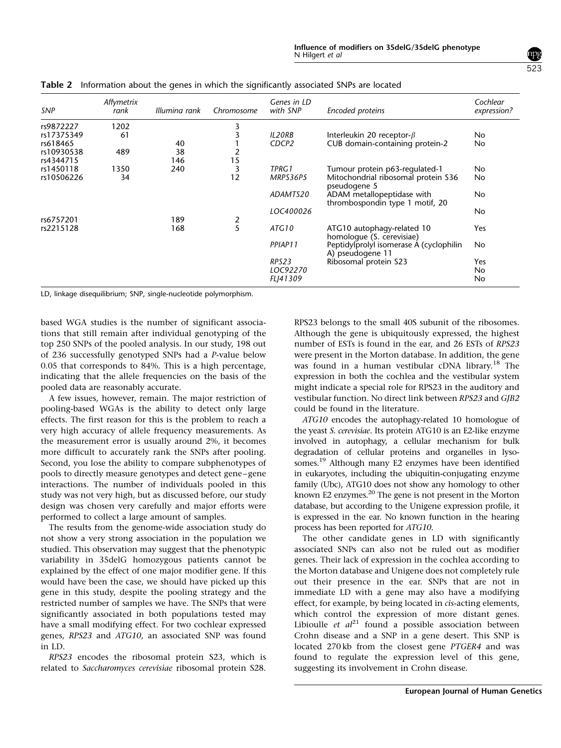| SNP        | Affymetrix<br>rank | Illumina rank | Chromosome    | Genes in LD<br>with SNP | Encoded proteins                                              | Cochlear<br>expression? |
|------------|--------------------|---------------|---------------|-------------------------|---------------------------------------------------------------|-------------------------|
| rs9872227  | 1202               |               | 3             |                         |                                                               |                         |
| rs17375349 | 61                 |               | 3             | <b>IL20RB</b>           | Interleukin 20 receptor- $\beta$                              | No.                     |
| rs618465   |                    | 40            |               | CDCP <sub>2</sub>       | CUB domain-containing protein-2                               | No.                     |
| rs10930538 | 489                | 38            | 2             |                         |                                                               |                         |
| rs4344715  |                    | 146           | 15            |                         |                                                               |                         |
| rs1450118  | 1350               | 240           | 3             | TPRG1                   | Tumour protein p63-regulated-1                                | No.                     |
| rs10506226 | 34                 |               | 12            | MRPS36P5                | Mitochondrial ribosomal protein S36<br>pseudogene 5           | No.                     |
|            |                    |               |               | ADAMTS20                | ADAM metallopeptidase with<br>thrombospondin type 1 motif, 20 | No.                     |
|            |                    |               |               | LOC400026               |                                                               | No.                     |
| rs6757201  |                    | 189           |               |                         |                                                               |                         |
| rs2215128  |                    | 168           | $\frac{2}{5}$ | ATG10                   | ATG10 autophagy-related 10<br>homologue (S. cerevisiae)       | Yes                     |
|            |                    |               |               | PPIAP11                 | Peptidylprolyl isomerase A (cyclophilin<br>A) pseudogene 11   | No.                     |
|            |                    |               |               | RPS23                   | Ribosomal protein S23                                         | Yes                     |
|            |                    |               |               | LOC92270                |                                                               | No                      |

<span id="page-6-0"></span>Table 2 Information about the genes in which the significantly associated SNPs are located

LD, linkage disequilibrium; SNP, single-nucleotide polymorphism.

based WGA studies is the number of significant associations that still remain after individual genotyping of the top 250 SNPs of the pooled analysis. In our study, 198 out of 236 successfully genotyped SNPs had a P-value below 0.05 that corresponds to 84%. This is a high percentage, indicating that the allele frequencies on the basis of the pooled data are reasonably accurate.

A few issues, however, remain. The major restriction of pooling-based WGAs is the ability to detect only large effects. The first reason for this is the problem to reach a very high accuracy of allele frequency measurements. As the measurement error is usually around 2%, it becomes more difficult to accurately rank the SNPs after pooling. Second, you lose the ability to compare subphenotypes of pools to directly measure genotypes and detect gene–gene interactions. The number of individuals pooled in this study was not very high, but as discussed before, our study design was chosen very carefully and major efforts were performed to collect a large amount of samples.

The results from the genome-wide association study do not show a very strong association in the population we studied. This observation may suggest that the phenotypic variability in 35delG homozygous patients cannot be explained by the effect of one major modifier gene. If this would have been the case, we should have picked up this gene in this study, despite the pooling strategy and the restricted number of samples we have. The SNPs that were significantly associated in both populations tested may have a small modifying effect. For two cochlear expressed genes, RPS23 and ATG10, an associated SNP was found in LD.

RPS23 encodes the ribosomal protein S23, which is related to Saccharomyces cerevisiae ribosomal protein S28.

RPS23 belongs to the small 40S subunit of the ribosomes. Although the gene is ubiquitously expressed, the highest number of ESTs is found in the ear, and 26 ESTs of RPS23 were present in the Morton database. In addition, the gene was found in a human vestibular cDNA library.[18](#page-7-0) The expression in both the cochlea and the vestibular system might indicate a special role for RPS23 in the auditory and vestibular function. No direct link between RPS23 and GJB2 could be found in the literature.

FLJ41309 No

ATG10 encodes the autophagy-related 10 homologue of the yeast S. cerevisiae. Its protein ATG10 is an E2-like enzyme involved in autophagy, a cellular mechanism for bulk degradation of cellular proteins and organelles in lysosomes.[19](#page-7-0) Although many E2 enzymes have been identified in eukaryotes, including the ubiquitin-conjugating enzyme family (Ubc), ATG10 does not show any homology to other known E2 enzymes.<sup>20</sup> The gene is not present in the Morton database, but according to the Unigene expression profile, it is expressed in the ear. No known function in the hearing process has been reported for ATG10.

The other candidate genes in LD with significantly associated SNPs can also not be ruled out as modifier genes. Their lack of expression in the cochlea according to the Morton database and Unigene does not completely rule out their presence in the ear. SNPs that are not in immediate LD with a gene may also have a modifying effect, for example, by being located in cis-acting elements, which control the expression of more distant genes. Libioulle et  $al^{21}$  $al^{21}$  $al^{21}$  found a possible association between Crohn disease and a SNP in a gene desert. This SNP is located 270 kb from the closest gene PTGER4 and was found to regulate the expression level of this gene, suggesting its involvement in Crohn disease.

523